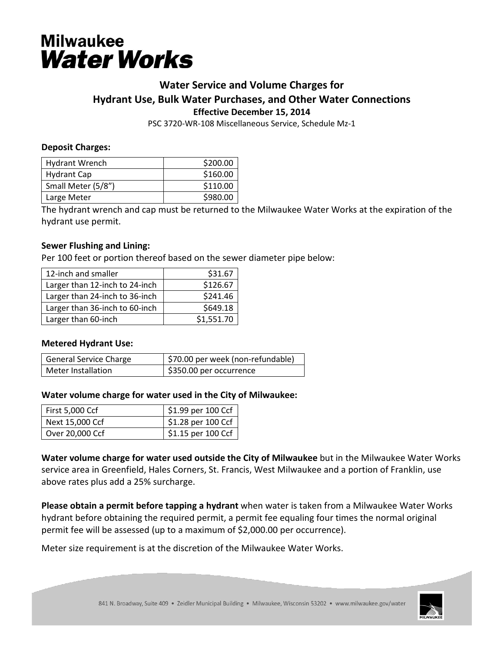# **Milwaukee Water Works**

## **Water Service and Volume Charges for Hydrant Use, Bulk Water Purchases, and Other Water Connections Effective December 15, 2014**

PSC 3720-WR-108 Miscellaneous Service, Schedule Mz-1

#### **Deposit Charges:**

| <b>Hydrant Wrench</b> | \$200.00 |
|-----------------------|----------|
| <b>Hydrant Cap</b>    | \$160.00 |
| Small Meter (5/8")    | \$110.00 |
| Large Meter           | \$980.00 |

The hydrant wrench and cap must be returned to the Milwaukee Water Works at the expiration of the hydrant use permit.

#### **Sewer Flushing and Lining:**

Per 100 feet or portion thereof based on the sewer diameter pipe below:

| 12-inch and smaller            | \$31.67    |
|--------------------------------|------------|
| Larger than 12-inch to 24-inch | \$126.67   |
| Larger than 24-inch to 36-inch | \$241.46   |
| Larger than 36-inch to 60-inch | \$649.18   |
| Larger than 60-inch            | \$1,551.70 |

#### **Metered Hydrant Use:**

| <b>General Service Charge</b> | \$70.00 per week (non-refundable) |
|-------------------------------|-----------------------------------|
| Meter Installation            | \$350.00 per occurrence           |

#### **Water volume charge for water used in the City of Milwaukee:**

| <b>First 5,000 Ccf</b> | \$1.99 per 100 Ccf               |
|------------------------|----------------------------------|
| Next 15,000 Ccf        | \$1.28 per 100 Ccf               |
| Over 20,000 Ccf        | $\frac{1}{2}$ \$1.15 per 100 Ccf |

**Water volume charge for water used outside the City of Milwaukee** but in the Milwaukee Water Works service area in Greenfield, Hales Corners, St. Francis, West Milwaukee and a portion of Franklin, use above rates plus add a 25% surcharge.

**Please obtain a permit before tapping a hydrant** when water is taken from a Milwaukee Water Works hydrant before obtaining the required permit, a permit fee equaling four times the normal original permit fee will be assessed (up to a maximum of \$2,000.00 per occurrence).

Meter size requirement is at the discretion of the Milwaukee Water Works.

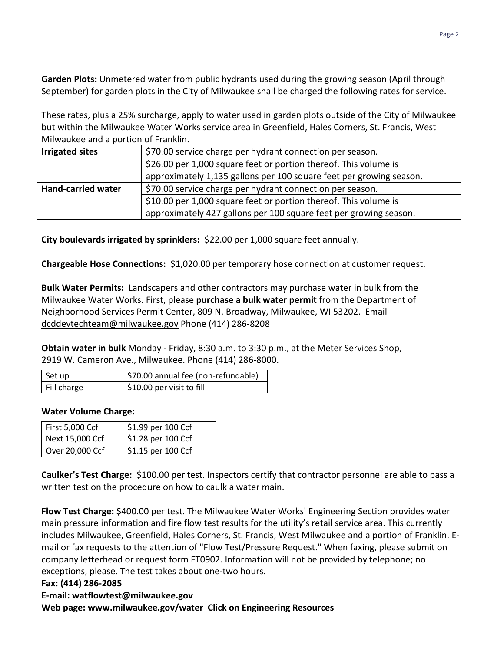**Garden Plots:** Unmetered water from public hydrants used during the growing season (April through September) for garden plots in the City of Milwaukee shall be charged the following rates for service.

These rates, plus a 25% surcharge, apply to water used in garden plots outside of the City of Milwaukee but within the Milwaukee Water Works service area in Greenfield, Hales Corners, St. Francis, West Milwaukee and a portion of Franklin.

| <b>Irrigated sites</b>    | \$70.00 service charge per hydrant connection per season.           |  |
|---------------------------|---------------------------------------------------------------------|--|
|                           | \$26.00 per 1,000 square feet or portion thereof. This volume is    |  |
|                           | approximately 1,135 gallons per 100 square feet per growing season. |  |
| <b>Hand-carried water</b> | \$70.00 service charge per hydrant connection per season.           |  |
|                           | \$10.00 per 1,000 square feet or portion thereof. This volume is    |  |
|                           | approximately 427 gallons per 100 square feet per growing season.   |  |

**City boulevards irrigated by sprinklers:** \$22.00 per 1,000 square feet annually.

**Chargeable Hose Connections:** \$1,020.00 per temporary hose connection at customer request.

**Bulk Water Permits:** Landscapers and other contractors may purchase water in bulk from the Milwaukee Water Works. First, please **purchase a bulk water permit** from the Department of Neighborhood Services Permit Center, 809 N. Broadway, Milwaukee, WI 53202. Email [dcddevtechteam@milwaukee.gov](mailto:dcddevtechteam@milwaukee.gov) Phone (414) 286-8208

**Obtain water in bulk** Monday - Friday, 8:30 a.m. to 3:30 p.m., at the Meter Services Shop, 2919 W. Cameron Ave., Milwaukee. Phone (414) 286-8000.

| Set up      | \$70.00 annual fee (non-refundable) |
|-------------|-------------------------------------|
| Fill charge | \$10.00 per visit to fill           |

#### **Water Volume Charge:**

| First 5,000 Ccf | \$1.99 per 100 Ccf |
|-----------------|--------------------|
| Next 15,000 Ccf | \$1.28 per 100 Ccf |
| Over 20,000 Ccf | \$1.15 per 100 Ccf |

**Caulker's Test Charge:** \$100.00 per test. Inspectors certify that contractor personnel are able to pass a written test on the procedure on how to caulk a water main.

**Flow Test Charge:** \$400.00 per test. The Milwaukee Water Works' Engineering Section provides water main pressure information and fire flow test results for the utility's retail service area. This currently includes Milwaukee, Greenfield, Hales Corners, St. Francis, West Milwaukee and a portion of Franklin. Email or fax requests to the attention of "Flow Test/Pressure Request." When faxing, please submit on company letterhead or request form FT0902. Information will not be provided by telephone; no exceptions, please. The test takes about one-two hours.

#### **Fax: (414) 286-2085**

#### **E-mail: watflowtest@milwaukee.gov**

**Web page: [www.milwaukee.gov/water](http://www.milwaukee.gov/water) Click on Engineering Resources**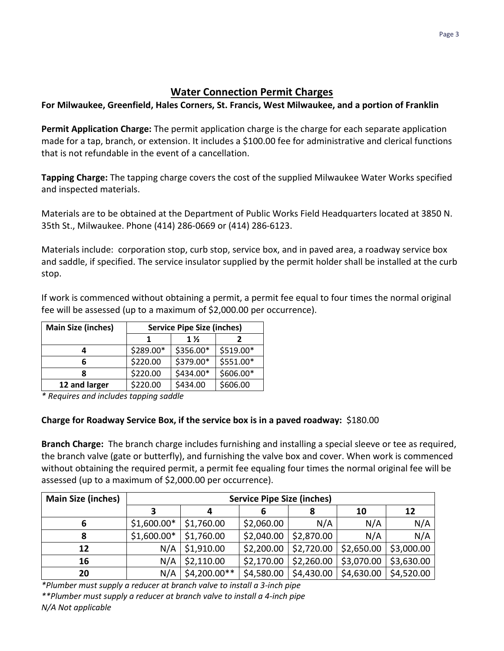## **Water Connection Permit Charges**

**For Milwaukee, Greenfield, Hales Corners, St. Francis, West Milwaukee, and a portion of Franklin**

**Permit Application Charge:** The permit application charge is the charge for each separate application made for a tap, branch, or extension. It includes a \$100.00 fee for administrative and clerical functions that is not refundable in the event of a cancellation.

**Tapping Charge:** The tapping charge covers the cost of the supplied Milwaukee Water Works specified and inspected materials.

Materials are to be obtained at the Department of Public Works Field Headquarters located at 3850 N. 35th St., Milwaukee. Phone (414) 286-0669 or (414) 286-6123.

Materials include: corporation stop, curb stop, service box, and in paved area, a roadway service box and saddle, if specified. The service insulator supplied by the permit holder shall be installed at the curb stop.

If work is commenced without obtaining a permit, a permit fee equal to four times the normal original fee will be assessed (up to a maximum of \$2,000.00 per occurrence).

| <b>Main Size (inches)</b> | <b>Service Pipe Size (inches)</b> |           |           |
|---------------------------|-----------------------------------|-----------|-----------|
|                           |                                   | $1\%$     |           |
|                           | \$289.00*                         | \$356.00* | \$519.00* |
| 6                         | \$220.00                          | \$379.00* | \$551.00* |
|                           | \$220.00                          | \$434.00* | \$606.00* |
| 12 and larger             | \$220.00                          | \$434.00  | \$606.00  |

*\* Requires and includes tapping saddle*

### **Charge for Roadway Service Box, if the service box is in a paved roadway:** \$180.00

**Branch Charge:** The branch charge includes furnishing and installing a special sleeve or tee as required, the branch valve (gate or butterfly), and furnishing the valve box and cover. When work is commenced without obtaining the required permit, a permit fee equaling four times the normal original fee will be assessed (up to a maximum of \$2,000.00 per occurrence).

| <b>Main Size (inches)</b> | <b>Service Pipe Size (inches)</b> |                |            |            |            |            |
|---------------------------|-----------------------------------|----------------|------------|------------|------------|------------|
|                           |                                   |                | o          |            | 10         | 12         |
|                           | $$1,600.00*$                      | \$1,760.00     | \$2,060.00 | N/A        | N/A        | N/A        |
| 8                         | $$1,600.00*$                      | \$1,760.00     | \$2,040.00 | \$2,870.00 | N/A        | N/A        |
| 12                        | N/A                               | \$1,910.00     | \$2,200.00 | \$2,720.00 | \$2,650.00 | \$3,000.00 |
| 16                        | N/A                               | \$2,110.00     | \$2,170.00 | \$2,260.00 | \$3,070.00 | \$3,630.00 |
| 20                        | N/A                               | $$4,200.00**$$ | \$4,580.00 | \$4,430.00 | \$4,630.00 | \$4,520.00 |

*\*Plumber must supply a reducer at branch valve to install a 3-inch pipe*

*\*\*Plumber must supply a reducer at branch valve to install a 4-inch pipe N/A Not applicable*